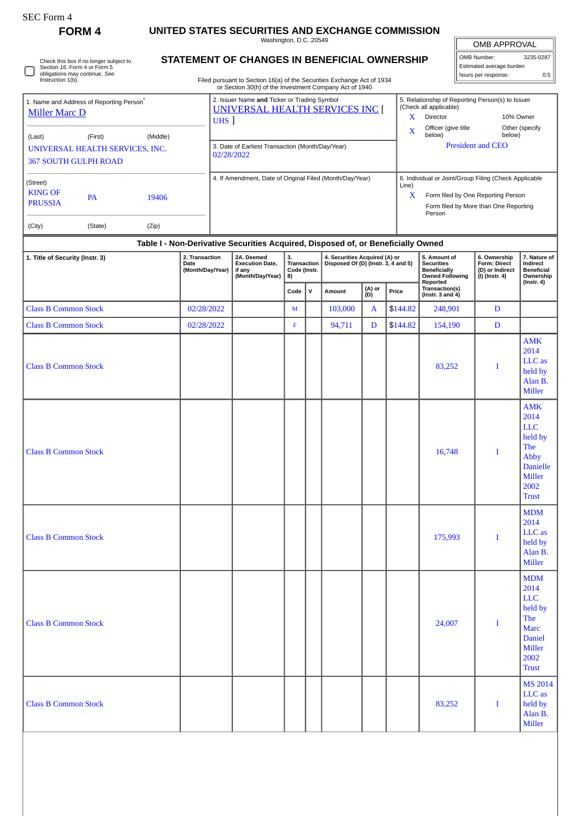Check this box if no longer subject to Section 16. Form 4 or Form 5 obligations may continue. *See* Instruction 1(b).

## **FORM 4 UNITED STATES SECURITIES AND EXCHANGE COMMISSION**

Washington, D.C. 20549

OMB APPROVAL

| OMB Number:              | 3235-0287 |
|--------------------------|-----------|
| Estimated average burden |           |
| hours per response:      | 0.5       |

Filed pursuant to Section 16(a) of the Securities Exchange Act of 1934 or Section 30(h) of the Investment Company Act of 1940

| 1. Name and Address of Reporting Person <sup>®</sup><br><b>Miller Marc D</b> |                                                                                  |          |                                                   |                                                                                                                                                                                              | 2. Issuer Name and Ticker or Trading Symbol<br>UNIVERSAL HEALTH SERVICES INC [<br>UHS 1 |        |                  |       |                                                                                                |                                                                          | 5. Relationship of Reporting Person(s) to Issuer<br>(Check all applicable)<br>X<br><b>Director</b> | 10% Owner                |  |  |
|------------------------------------------------------------------------------|----------------------------------------------------------------------------------|----------|---------------------------------------------------|----------------------------------------------------------------------------------------------------------------------------------------------------------------------------------------------|-----------------------------------------------------------------------------------------|--------|------------------|-------|------------------------------------------------------------------------------------------------|--------------------------------------------------------------------------|----------------------------------------------------------------------------------------------------|--------------------------|--|--|
| (Last)                                                                       | (First)                                                                          | (Middle) |                                                   |                                                                                                                                                                                              |                                                                                         |        |                  |       | $\mathbf x$                                                                                    | Officer (give title<br>below)                                            | below)                                                                                             | Other (specify           |  |  |
| UNIVERSAL HEALTH SERVICES, INC.<br><b>367 SOUTH GULPH ROAD</b>               |                                                                                  |          |                                                   |                                                                                                                                                                                              | 3. Date of Earliest Transaction (Month/Day/Year)<br>02/28/2022                          |        |                  |       |                                                                                                |                                                                          |                                                                                                    | <b>President and CEO</b> |  |  |
| (Street)                                                                     |                                                                                  |          |                                                   | 4. If Amendment, Date of Original Filed (Month/Day/Year)                                                                                                                                     |                                                                                         |        |                  |       |                                                                                                | Line)                                                                    | 6. Individual or Joint/Group Filing (Check Applicable                                              |                          |  |  |
| <b>KING OF</b>                                                               | <b>PA</b>                                                                        | 19406    |                                                   |                                                                                                                                                                                              |                                                                                         |        |                  |       |                                                                                                | x                                                                        | Form filed by One Reporting Person                                                                 |                          |  |  |
| <b>PRUSSIA</b>                                                               |                                                                                  |          |                                                   |                                                                                                                                                                                              |                                                                                         |        |                  |       |                                                                                                |                                                                          | Form filed by More than One Reporting<br>Person                                                    |                          |  |  |
| (City)                                                                       | (State)                                                                          | (Zip)    |                                                   |                                                                                                                                                                                              |                                                                                         |        |                  |       |                                                                                                |                                                                          |                                                                                                    |                          |  |  |
|                                                                              | Table I - Non-Derivative Securities Acquired, Disposed of, or Beneficially Owned |          |                                                   |                                                                                                                                                                                              |                                                                                         |        |                  |       |                                                                                                |                                                                          |                                                                                                    |                          |  |  |
| 1. Title of Security (Instr. 3)                                              |                                                                                  |          | 2. Transaction<br><b>Date</b><br>(Month/Day/Year) | 2A. Deemed<br>4. Securities Acquired (A) or<br>з.<br>Disposed Of (D) (Instr. 3, 4 and 5)<br><b>Transaction</b><br><b>Execution Date,</b><br>Code (Instr.<br>if any<br>(Month/Day/Year)<br>8) |                                                                                         |        |                  |       | 5. Amount of<br><b>Securities</b><br><b>Beneficially</b><br><b>Owned Following</b><br>Reported | 6. Ownership<br><b>Form: Direct</b><br>(D) or Indirect<br>(I) (Instr. 4) | 7. Nature of<br>Indirect<br><b>Beneficial</b><br>Ownership<br>(Instr. 4)                           |                          |  |  |
|                                                                              |                                                                                  |          |                                                   | Code                                                                                                                                                                                         | v                                                                                       | Amount | (A) or<br>$\sim$ | Price | Transaction(s)<br>$0 - 4x - 2 - 4x + 4y$                                                       |                                                                          |                                                                                                    |                          |  |  |

|                             |            | Code        | ${\sf v}$ | Amount  | (A) or<br>  (D) | Price    | ransaction(s)<br>(Instr. 3 and 4) |             |                                                                                                                        |
|-----------------------------|------------|-------------|-----------|---------|-----------------|----------|-----------------------------------|-------------|------------------------------------------------------------------------------------------------------------------------|
| <b>Class B Common Stock</b> | 02/28/2022 | $\mathbf M$ |           | 103,000 | $\mathbf{A}$    | \$144.82 | 248,901                           | $\mathbf D$ |                                                                                                                        |
| <b>Class B Common Stock</b> | 02/28/2022 | $\mathbf F$ |           | 94,711  | D               | \$144.82 | 154,190                           | $\mathbf D$ |                                                                                                                        |
| <b>Class B Common Stock</b> |            |             |           |         |                 |          | 83,252                            | I           | <b>AMK</b><br>2014<br>LLC as<br>held by<br>Alan B.<br>Miller                                                           |
| <b>Class B Common Stock</b> |            |             |           |         |                 |          | 16,748                            | I           | <b>AMK</b><br>2014<br><b>LLC</b><br>held by<br>The<br>Abby<br><b>Danielle</b><br><b>Miller</b><br>2002<br><b>Trust</b> |
| <b>Class B Common Stock</b> |            |             |           |         |                 |          | 175,993                           | I           | <b>MDM</b><br>2014<br>LLC as<br>held by<br>Alan B.<br><b>Miller</b>                                                    |
| <b>Class B Common Stock</b> |            |             |           |         |                 |          | 24,007                            | I           | <b>MDM</b><br>2014<br><b>LLC</b><br>held by<br>The<br><b>Marc</b><br>Daniel<br><b>Miller</b><br>2002<br><b>Trust</b>   |
| <b>Class B Common Stock</b> |            |             |           |         |                 |          | 83,252                            | $\bf{I}$    | <b>MS 2014</b><br>LLC as<br>held by<br>Alan B.<br><b>Miller</b>                                                        |